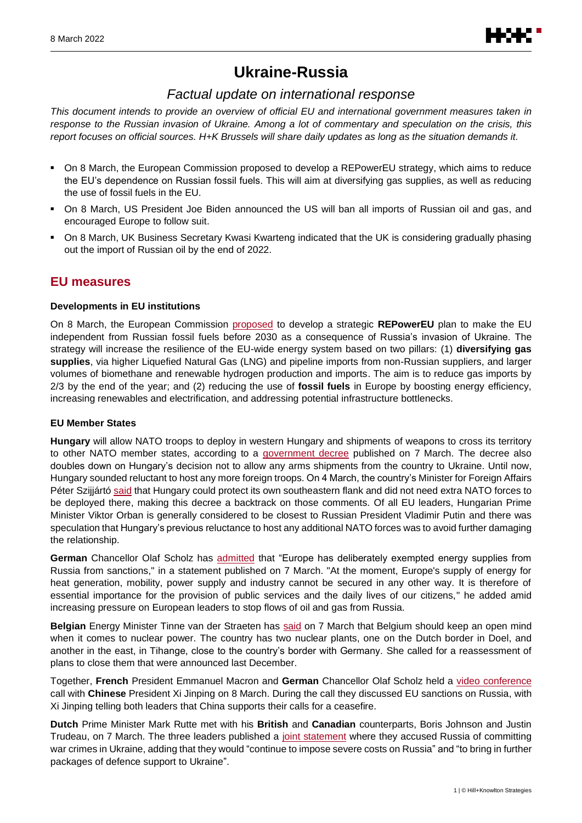

# **Ukraine-Russia**

# *Factual update on international response*

*This document intends to provide an overview of official EU and international government measures taken in response to the Russian invasion of Ukraine. Among a lot of commentary and speculation on the crisis, this report focuses on official sources. H+K Brussels will share daily updates as long as the situation demands it.*

- **On 8 March, the European Commission proposed to develop a REPowerEU strategy, which aims to reduce** the EU's dependence on Russian fossil fuels. This will aim at diversifying gas supplies, as well as reducing the use of fossil fuels in the EU.
- On 8 March, US President Joe Biden announced the US will ban all imports of Russian oil and gas, and encouraged Europe to follow suit.
- **▪** On 8 March, UK Business Secretary Kwasi Kwarteng indicated that the UK is considering gradually phasing out the import of Russian oil by the end of 2022.

# **EU measures**

### **Developments in EU institutions**

On 8 March, the European Commission [proposed](https://energy.ec.europa.eu/repowereu-joint-european-action-more-affordable-secure-and-sustainable-energy_en) to develop a strategic **REPowerEU** plan to make the EU independent from Russian fossil fuels before 2030 as a consequence of Russia's invasion of Ukraine. The strategy will increase the resilience of the EU-wide energy system based on two pillars: (1) **diversifying gas supplies**, via higher Liquefied Natural Gas (LNG) and pipeline imports from non-Russian suppliers, and larger volumes of biomethane and renewable hydrogen production and imports. The aim is to reduce gas imports by 2/3 by the end of the year; and (2) reducing the use of **fossil fuels** in Europe by boosting energy efficiency, increasing renewables and electrification, and addressing potential infrastructure bottlenecks.

### **EU Member States**

**Hungary** will allow NATO troops to deploy in western Hungary and shipments of weapons to cross its territory to other NATO member states, according to a [government decree](https://magyarkozlony.hu/dokumentumok/854d68e77dd9473934ffc0ff24c558ea25527ac1/megtekintes) published on 7 March. The decree also doubles down on Hungary's decision not to allow any arms shipments from the country to Ukraine. Until now, Hungary sounded reluctant to host any more foreign troops. On 4 March, the country's Minister for Foreign Affairs Péter Szijjártó [said](https://www.facebook.com/szijjarto.peter.official/videos/483352356583755/) that Hungary could protect its own southeastern flank and did not need extra NATO forces to be deployed there, making this decree a backtrack on those comments. Of all EU leaders, Hungarian Prime Minister Viktor Orban is generally considered to be closest to Russian President Vladimir Putin and there was speculation that Hungary's previous reluctance to host any additional NATO forces was to avoid further damaging the relationship.

**German** Chancellor Olaf Scholz has [admitted](https://www.bundesregierung.de/breg-de/themen/krieg-in-der-ukraine/energieversorgung-scholz-2010716) that "Europe has deliberately exempted energy supplies from Russia from sanctions," in a statement published on 7 March. "At the moment, Europe's supply of energy for heat generation, mobility, power supply and industry cannot be secured in any other way. It is therefore of essential importance for the provision of public services and the daily lives of our citizens," he added amid increasing pressure on European leaders to stop flows of oil and gas from Russia.

**Belgian** Energy Minister Tinne van der Straeten has [said](https://twitter.com/TinneVdS/status/1500728430987460609) on 7 March that Belgium should keep an open mind when it comes to nuclear power. The country has two nuclear plants, one on the Dutch border in Doel, and another in the east, in Tihange, close to the country's border with Germany. She called for a reassessment of plans to close them that were announced last December.

Together, **French** President Emmanuel Macron and **German** Chancellor Olaf Scholz held a [video conference](https://www.elysee.fr/emmanuel-macron/2022/03/08/entretien-allemagne-et-chine) call with **Chinese** President Xi Jinping on 8 March. During the call they discussed EU sanctions on Russia, with Xi Jinping telling both leaders that China supports their calls for a ceasefire.

**Dutch** Prime Minister Mark Rutte met with his **British** and **Canadian** counterparts, Boris Johnson and Justin Trudeau, on 7 March. The three leaders published a [joint statement](https://www.government.nl/government/members-of-cabinet/mark-rutte/documents/diplomatic-statements/2022/03/07/trilateral-statement-of-uk-canada-and-the-netherlands-on-ukraine) where they accused Russia of committing war crimes in Ukraine, adding that they would "continue to impose severe costs on Russia" and "to bring in further packages of defence support to Ukraine".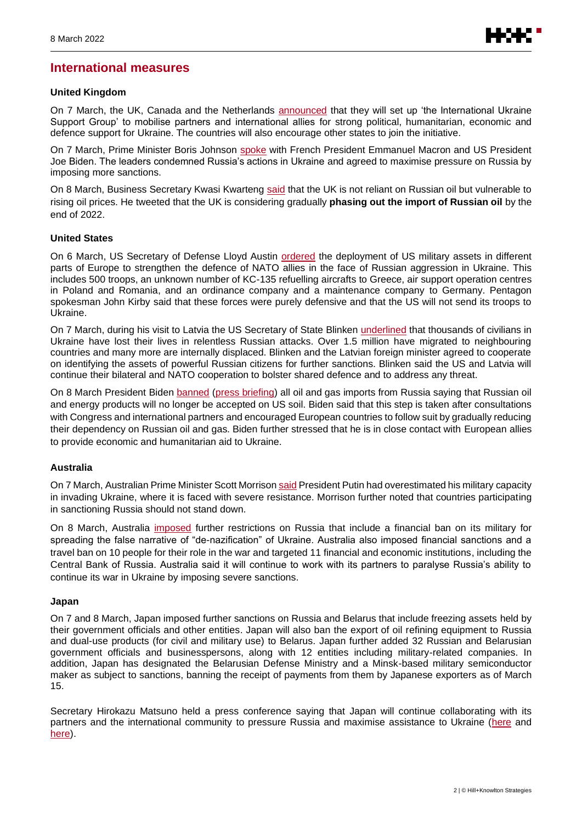# **International measures**

### **United Kingdom**

On 7 March, the UK, Canada and the Netherlands [announced](https://www.gov.uk/government/news/uk-largest-bilateral-humanitarian-donor-to-ukraine-as-uk-canada-and-the-netherlands-launch-new-ukraine-solidarity-alliance) that they will set up 'the International Ukraine Support Group' to mobilise partners and international allies for strong political, humanitarian, economic and defence support for Ukraine. The countries will also encourage other states to join the initiative.

On 7 March, Prime Minister Boris Johnson [spoke](https://www.gov.uk/government/news/pm-call-with-the-leaders-of-the-france-germany-and-the-united-states-7-march-2022) with French President Emmanuel Macron and US President Joe Biden. The leaders condemned Russia's actions in Ukraine and agreed to maximise pressure on Russia by imposing more sanctions.

On 8 March, Business Secretary Kwasi Kwarteng [said](https://twitter.com/KwasiKwarteng?ref_src=twsrc%5Egoogle%7Ctwcamp%5Eserp%7Ctwgr%5Eauthor) that the UK is not reliant on Russian oil but vulnerable to rising oil prices. He tweeted that the UK is considering gradually **phasing out the import of Russian oil** by the end of 2022.

#### **United States**

On 6 March, US Secretary of Defense Lloyd Austin [ordered](https://www.defense.gov/News/News-Stories/Article/Article/2958320/defense-secretary-calls-up-more-troops-to-europe/) the deployment of US military assets in different parts of Europe to strengthen the defence of NATO allies in the face of Russian aggression in Ukraine. This includes 500 troops, an unknown number of KC-135 refuelling aircrafts to Greece, air support operation centres in Poland and Romania, and an ordinance company and a maintenance company to Germany. Pentagon spokesman John Kirby said that these forces were purely defensive and that the US will not send its troops to Ukraine.

On 7 March, during his visit to Latvia the US Secretary of State Blinken [underlined](https://www.state.gov/secretary-of-state-antony-j-blinken-and-latvian-foreign-minister-edgars-rinkevics-at-a-joint-press-availability/) that thousands of civilians in Ukraine have lost their lives in relentless Russian attacks. Over 1.5 million have migrated to neighbouring countries and many more are internally displaced. Blinken and the Latvian foreign minister agreed to cooperate on identifying the assets of powerful Russian citizens for further sanctions. Blinken said the US and Latvia will continue their bilateral and NATO cooperation to bolster shared defence and to address any threat.

On 8 March President Biden [banned](https://twitter.com/business/status/1501229701561524229?s=20&t=Z6o-J1fRZaoi0w5nJb-qOg) [\(press briefing\)](https://www.youtube.com/watch?v=A6WXSj6NxpM) all oil and gas imports from Russia saying that Russian oil and energy products will no longer be accepted on US soil. Biden said that this step is taken after consultations with Congress and international partners and encouraged European countries to follow suit by gradually reducing their dependency on Russian oil and gas. Biden further stressed that he is in close contact with European allies to provide economic and humanitarian aid to Ukraine.

### **Australia**

On 7 March, Australian Prime Minister Scott Morriso[n said](https://www.pm.gov.au/media/qa-lowy-institute) President Putin had overestimated his military capacity in invading Ukraine, where it is faced with severe resistance. Morrison further noted that countries participating in sanctioning Russia should not stand down.

On 8 March, Australia [imposed](https://www.foreignminister.gov.au/minister/marise-payne/media-release/further-sanctions-russia) further restrictions on Russia that include a financial ban on its military for spreading the false narrative of "de-nazification" of Ukraine. Australia also imposed financial sanctions and a travel ban on 10 people for their role in the war and targeted 11 financial and economic institutions, including the Central Bank of Russia. Australia said it will continue to work with its partners to paralyse Russia's ability to continue its war in Ukraine by imposing severe sanctions.

#### **Japan**

On 7 and 8 March, Japan imposed further sanctions on Russia and Belarus that include freezing assets held by their government officials and other entities. Japan will also ban the export of oil refining equipment to Russia and dual-use products (for civil and military use) to Belarus. Japan further added 32 Russian and Belarusian government officials and businesspersons, along with 12 entities including military-related companies. In addition, Japan has designated the Belarusian Defense Ministry and a Minsk-based military semiconductor maker as subject to sanctions, banning the receipt of payments from them by Japanese exporters as of March 15.

Secretary Hirokazu Matsuno held a press conference saying that Japan will continue collaborating with its partners and the international community to pressure Russia and maximise assistance to Ukraine [\(here](https://japan.kantei.go.jp/tyoukanpress/202203/07_p.html) and [here\)](https://japan.kantei.go.jp/tyoukanpress/202203/08_p.html).